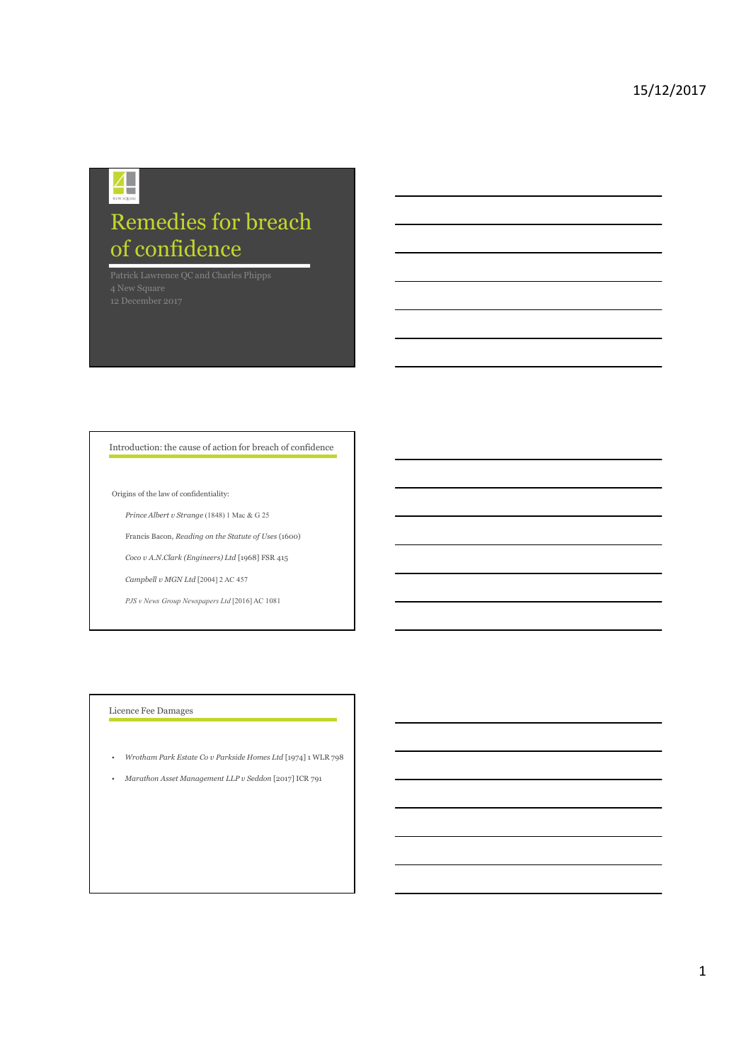## 

# Remedies for breach of confidence

Patrick Lawrence QC and Charles Phipps 4 New Square

## Introduction: the cause of action for breach of confidence

Origins of the law of confidentiality:

Prince Albert v Strange (1848) 1 Mac & G 25

Francis Bacon, Reading on the Statute of Uses (1600)

Coco v A.N.Clark (Engineers) Ltd [1968] FSR 415

Campbell v MGN Ltd [2004] 2 AC 457

PJS v News Group Newspapers Ltd [2016] AC 1081

## Licence Fee Damages

- Wrotham Park Estate Co v Parkside Homes Ltd [1974] 1 WLR 798
- Marathon Asset Management LLP v Seddon [2017] ICR 791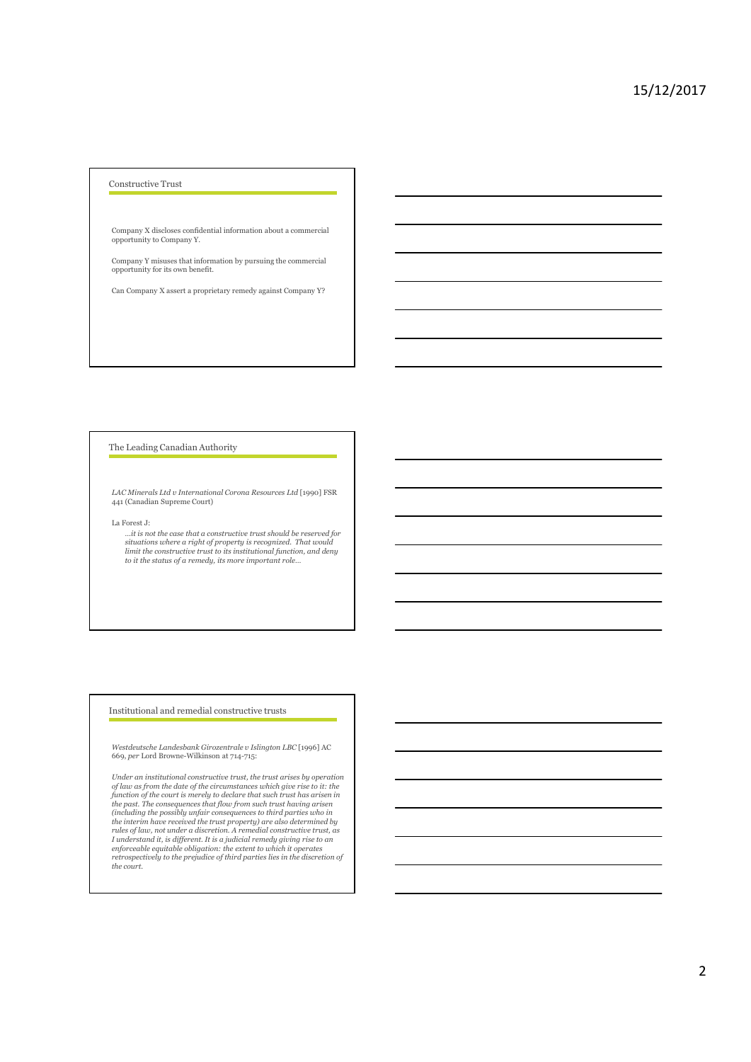#### Constructive Trust

Company X discloses confidential information about a commercial opportunity to Company Y.

Company Y misuses that information by pursuing the commercial opportunity for its own benefit.

Can Company X assert a proprietary remedy against Company Y?

## The Leading Canadian Authority

LAC Minerals Ltd v International Corona Resources Ltd [1990] FSR 441 (Canadian Supreme Court)

La Forest J:

…it is not the case that a constructive trust should be reserved for situations where a right of property is recognized. That would limit the constructive trust to its institutional function, and deny to it the status of a remedy, its more important role…

## Institutional and remedial constructive trusts

Westdeutsche Landesbank Girozentrale v Islington LBC [1996] AC 669, per Lord Browne-Wilkinson at 714-715:

Under an institutional constructive trust, the trust arises by operation of law as from the date of the circumstances which give rise to it: the function of the court is merely to declare that such trust has arisen in<br>the past. The consequences that flow from such trust having arisen<br>(including the possibly unfair consequences to third parties who in<br>the interim ha the court.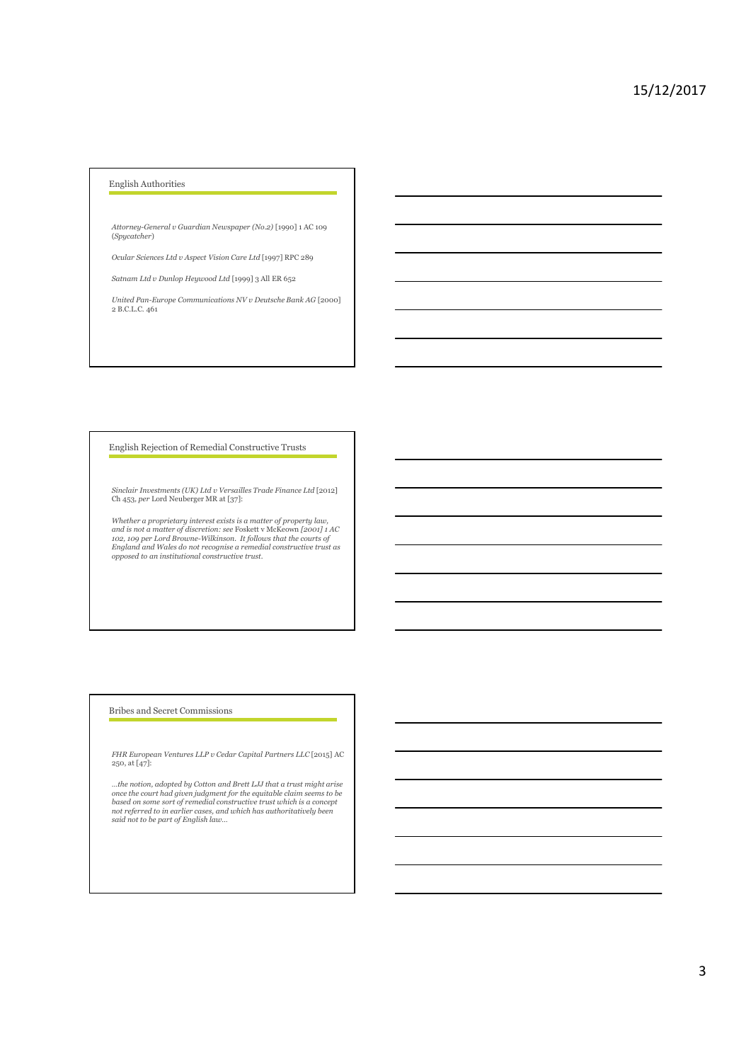#### English Authorities

Attorney-General v Guardian Newspaper (No.2) [1990] 1 AC 109 (Spycatcher)

Ocular Sciences Ltd v Aspect Vision Care Ltd [1997] RPC 289

Satnam Ltd v Dunlop Heywood Ltd [1999] 3 All ER 652

United Pan-Europe Communications NV v Deutsche Bank AG [2000] 2 B.C.L.C. 461

## English Rejection of Remedial Constructive Trusts

Sinclair Investments (UK) Ltd v Versailles Trade Finance Ltd [2012] Ch 453, per Lord Neuberger MR at [37]:

Whether a proprietary interest exists is a matter of property law, and is not a matter of discretion: see Foskett v McKeown [2001] 1 AC 102, 109 per Lord Browne-Wilkinson. It follows that the courts of England and Wales do not recognise a remedial constructive trust as opposed to an institutional constructive trust.

## Bribes and Secret Commissions

FHR European Ventures LLP v Cedar Capital Partners LLC [2015] AC 250, at [47]:

...the notion, adopted by Cotton and Brett LJJ that a trust might arise<br>once the court had given judgment for the equitable claim seems to be<br>based on some sort of remedial constructive trust which is a concept<br>not referre said not to be part of English law…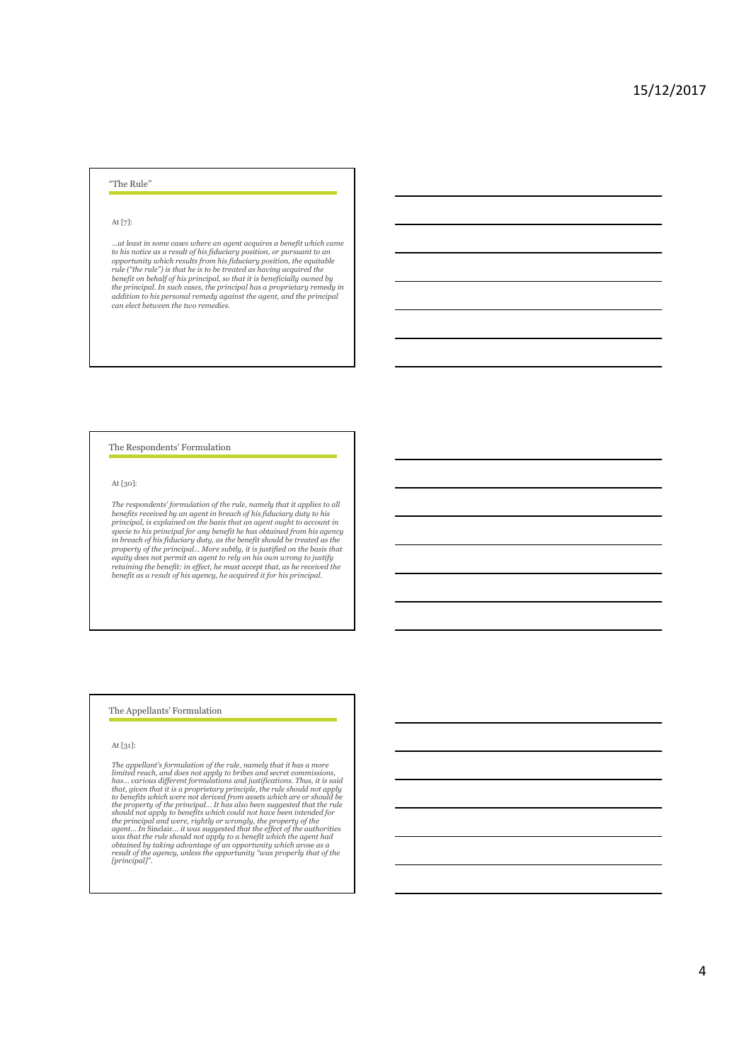#### "The Rule"

#### At [7]:

…at least in some cases where an agent acquires a benefit which came to his notice as a result of his fiduciary position, or pursuant to an opportunity which results from his fiduciary position, the equitable rule ("the rule") is that he is to be treated as having acquired the benefit on behalf of his principal, so that it is beneficially owned by<br>the principal. In such cases, the principal has a proprietary remedy in<br>addition to his personal remedy against the agent, and the principal<br>can elect

## The Respondents' Formulation

At [30]:

The respondents' formulation of the rule, namely that it applies to all benefits received by an agent in breach of his fiduciary duty to his principal, is explained on the basis that an agent ought to account in specie to his principal for any benefit he has obtained from his agency in breach of his fiduciary duty, as the benefit should be treated as the property of the principal… More subtly, it is justified on the basis that equity does not permit an agent to rely on his own wrong to justify retaining the benefit: in effect, he must accept that, as he received the benefit as a result of his agency, he acquired it for his principal.

The Appellants' Formulation

#### At [31]:

The appellant's formulation of the rule, namely that it has a more limited reach, and does not apply to bribes and secret commissions, has... various different formulations and justifications. Thus, it is said that, given